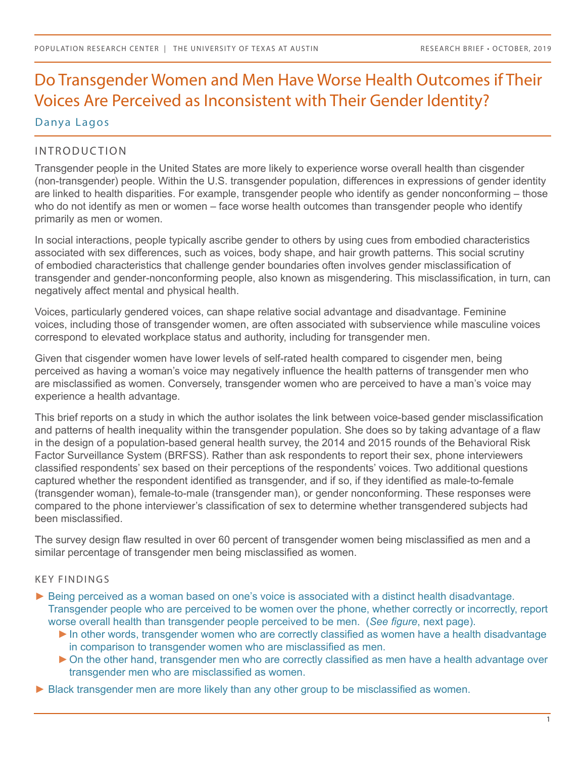# Do Transgender Women and Men Have Worse Health Outcomes if Their Voices Are Perceived as Inconsistent with Their Gender Identity?

Danya Lagos

# INTRODUCTION

Transgender people in the United States are more likely to experience worse overall health than cisgender (non-transgender) people. Within the U.S. transgender population, differences in expressions of gender identity are linked to health disparities. For example, transgender people who identify as gender nonconforming – those who do not identify as men or women – face worse health outcomes than transgender people who identify primarily as men or women.

In social interactions, people typically ascribe gender to others by using cues from embodied characteristics associated with sex differences, such as voices, body shape, and hair growth patterns. This social scrutiny of embodied characteristics that challenge gender boundaries often involves gender misclassification of transgender and gender-nonconforming people, also known as misgendering. This misclassification, in turn, can negatively affect mental and physical health.

Voices, particularly gendered voices, can shape relative social advantage and disadvantage. Feminine voices, including those of transgender women, are often associated with subservience while masculine voices correspond to elevated workplace status and authority, including for transgender men.

Given that cisgender women have lower levels of self-rated health compared to cisgender men, being perceived as having a woman's voice may negatively influence the health patterns of transgender men who are misclassified as women. Conversely, transgender women who are perceived to have a man's voice may experience a health advantage.

This brief reports on a study in which the author isolates the link between voice-based gender misclassification and patterns of health inequality within the transgender population. She does so by taking advantage of a flaw in the design of a population-based general health survey, the 2014 and 2015 rounds of the Behavioral Risk Factor Surveillance System (BRFSS). Rather than ask respondents to report their sex, phone interviewers classified respondents' sex based on their perceptions of the respondents' voices. Two additional questions captured whether the respondent identified as transgender, and if so, if they identified as male-to-female (transgender woman), female-to-male (transgender man), or gender nonconforming. These responses were compared to the phone interviewer's classification of sex to determine whether transgendered subjects had been misclassified.

The survey design flaw resulted in over 60 percent of transgender women being misclassified as men and a similar percentage of transgender men being misclassified as women.

#### KEY FINDINGS

- ► Being perceived as a woman based on one's voice is associated with a distinct health disadvantage. Transgender people who are perceived to be women over the phone, whether correctly or incorrectly, report worse overall health than transgender people perceived to be men. (*See figure*, next page).
	- ► In other words, transgender women who are correctly classified as women have a health disadvantage in comparison to transgender women who are misclassified as men.
	- ► On the other hand, transgender men who are correctly classified as men have a health advantage over transgender men who are misclassified as women.
- ► Black transgender men are more likely than any other group to be misclassified as women.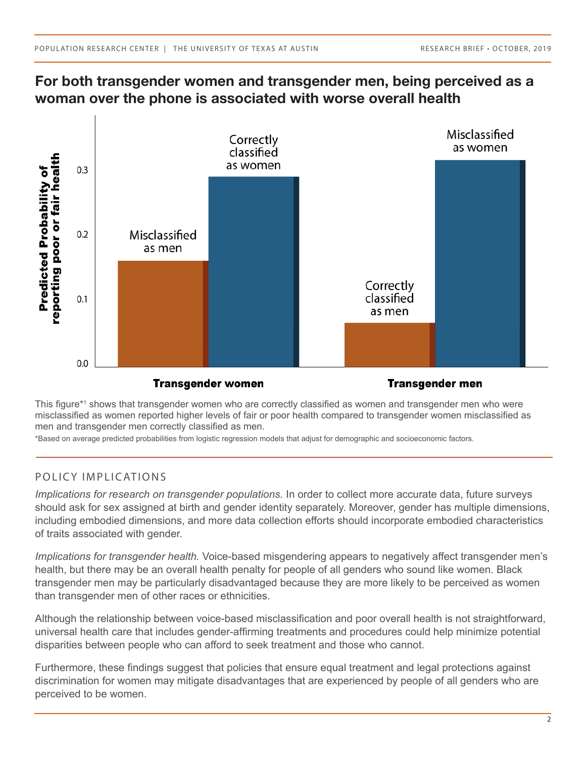# **For both transgender women and transgender men, being perceived as a woman over the phone is associated with worse overall health**



This figure\*<sup>1</sup> shows that transgender women who are correctly classified as women and transgender men who were misclassified as women reported higher levels of fair or poor health compared to transgender women misclassified as men and transgender men correctly classified as men.

\*Based on average predicted probabilities from logistic regression models that adjust for demographic and socioeconomic factors.

#### POLICY IMPLICATIONS

*Implications for research on transgender populations.* In order to collect more accurate data, future surveys should ask for sex assigned at birth and gender identity separately. Moreover, gender has multiple dimensions, including embodied dimensions, and more data collection efforts should incorporate embodied characteristics of traits associated with gender.

*Implications for transgender health.* Voice-based misgendering appears to negatively affect transgender men's health, but there may be an overall health penalty for people of all genders who sound like women. Black transgender men may be particularly disadvantaged because they are more likely to be perceived as women than transgender men of other races or ethnicities.

Although the relationship between voice-based misclassification and poor overall health is not straightforward, universal health care that includes gender-affirming treatments and procedures could help minimize potential disparities between people who can afford to seek treatment and those who cannot.

Furthermore, these findings suggest that policies that ensure equal treatment and legal protections against discrimination for women may mitigate disadvantages that are experienced by people of all genders who are perceived to be women.